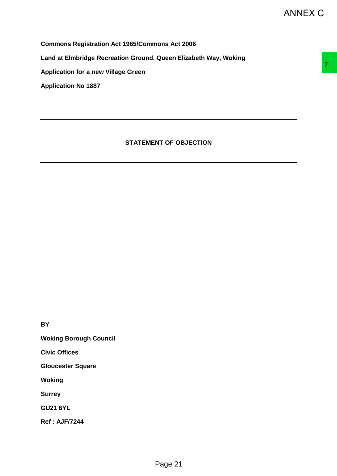**Commons Registration Act 1965/Commons Act 2006**

**Land at Elmbridge Recreation Ground, Queen Elizabeth Way, Woking** 

**Application for a new Village Green**

**Application No 1887**

# **STATEMENT OF OBJECTION** NT OF OBJECTION

**BY**

**Woking Borough Council**

**Civic Offices**

**Gloucester Square**

**Woking**

**Surrey**

**GU21 6YL**

**Ref : AJF/7244**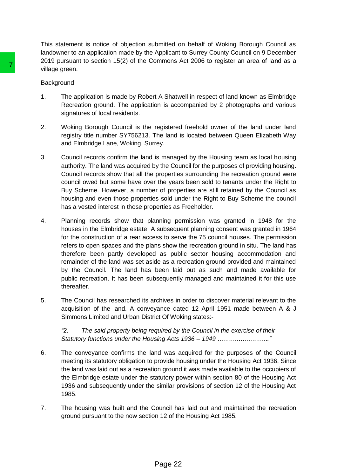This statement is notice of objection submitted on behalf of Woking Borough Council as landowner to an application made by the Applicant to Surrey County Council on 9 December 2019 pursuant to section 15(2) of the Commons Act 2006 to register an area of land as a village green.

# **Background**

- 1. The application is made by Robert A Shatwell in respect of land known as Elmbridge Recreation ground. The application is accompanied by 2 photographs and various signatures of local residents.
- 2. Woking Borough Council is the registered freehold owner of the land under land registry title number SY756213. The land is located between Queen Elizabeth Way and Elmbridge Lane, Woking, Surrey.
- 3. Council records confirm the land is managed by the Housing team as local housing authority. The land was acquired by the Council for the purposes of providing housing. Council records show that all the properties surrounding the recreation ground were council owed but some have over the years been sold to tenants under the Right to Buy Scheme. However, a number of properties are still retained by the Council as housing and even those properties sold under the Right to Buy Scheme the council has a vested interest in those properties as Freeholder.
- 4. Planning records show that planning permission was granted in 1948 for the houses in the Elmbridge estate. A subsequent planning consent was granted in 1964 for the construction of a rear access to serve the 75 council houses. The permission refers to open spaces and the plans show the recreation ground in situ. The land has therefore been partly developed as public sector housing accommodation and remainder of the land was set aside as a recreation ground provided and maintained by the Council. The land has been laid out as such and made available for public recreation. It has been subsequently managed and maintained it for this use thereafter. Transfer and the policial of the splitterial of the Society of the Society of the Society Readman Revised in the proposed of the application is according to the application is according to the application is according tran
	- 5. The Council has researched its archives in order to discover material relevant to the acquisition of the land. A conveyance dated 12 April 1951 made between A & J Simmons Limited and Urban District Of Woking states:-

*"2. The said property being required by the Council in the exercise of their Statutory functions under the Housing Acts 1936 – 1949 ……………………."*

- 6. The conveyance confirms the land was acquired for the purposes of the Council meeting its statutory obligation to provide housing under the Housing Act 1936. Since the land was laid out as a recreation ground it was made available to the occupiers of the Elmbridge estate under the statutory power within section 80 of the Housing Act 1936 and subsequently under the similar provisions of section 12 of the Housing Act 1985.
- 7. The housing was built and the Council has laid out and maintained the recreation ground pursuant to the now section 12 of the Housing Act 1985.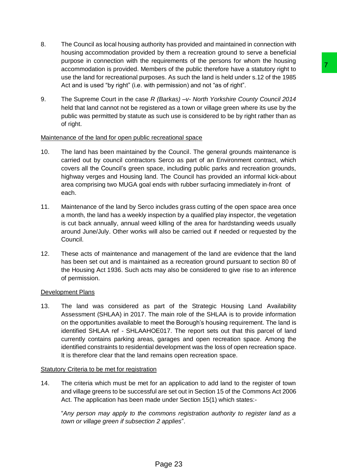- 8. The Council as local housing authority has provided and maintained in connection with housing accommodation provided by them a recreation ground to serve a beneficial purpose in connection with the requirements of the persons for whom the housing accommodation is provided. Members of the public therefore have a statutory right to use the land for recreational purposes. As such the land is held under s.12 of the 1985 Act and is used "by right" (i.e. with permission) and not "as of right".
- 9. The Supreme Court in the case *R (Barkas) –v- North Yorkshire County Council 2014* held that land cannot not be registered as a town or village green where its use by the public was permitted by statute as such use is considered to be by right rather than as of right.

# Maintenance of the land for open public recreational space

- 10. The land has been maintained by the Council. The general grounds maintenance is carried out by council contractors Serco as part of an Environment contract, which covers all the Council's green space, including public parks and recreation grounds, highway verges and Housing land. The Council has provided an informal kick-about area comprising two MUGA goal ends with rubber surfacing immediately in-front of each.
- 11. Maintenance of the land by Serco includes grass cutting of the open space area once a month, the land has a weekly inspection by a qualified play inspector, the vegetation is cut back annually, annual weed killing of the area for hardstanding weeds usually around June/July. Other works will also be carried out if needed or requested by the Council.
- 12. These acts of maintenance and management of the land are evidence that the land has been set out and is maintained as a recreation ground pursuant to section 80 of the Housing Act 1936. Such acts may also be considered to give rise to an inference of permission.

# Development Plans

13. The land was considered as part of the Strategic Housing Land Availability Assessment (SHLAA) in 2017. The main role of the SHLAA is to provide information on the opportunities available to meet the Borough's housing requirement. The land is identified SHLAA ref - SHLAAHOE017. The report sets out that this parcel of land currently contains parking areas, garages and open recreation space. Among the identified constraints to residential development was the loss of open recreation space. It is therefore clear that the land remains open recreation space. example. The public therefore have a statutory rigin-<br>theres of the public therefore have a statutory right to<br>see, As such the land is held under s.12 of the 1985<br>persision) and not "as of right".<br>(Barkas)  $-vv$ . North Yor

# Statutory Criteria to be met for registration

14. The criteria which must be met for an application to add land to the register of town and village greens to be successful are set out in Section 15 of the Commons Act 2006 Act. The application has been made under Section 15(1) which states:-

"*Any person may apply to the commons registration authority to register land as a town or village green if subsection 2 applies*".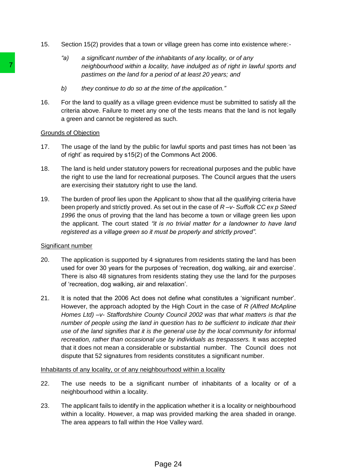- 15. Section 15(2) provides that a town or village green has come into existence where:-
	- *"a) a significant number of the inhabitants of any locality, or of any neighbourhood within a locality, have indulged as of right in lawful sports and pastimes on the land for a period of at least 20 years; and*
	- *b) they continue to do so at the time of the application."*
- 16. For the land to qualify as a village green evidence must be submitted to satisfy all the criteria above. Failure to meet any one of the tests means that the land is not legally a green and cannot be registered as such.

### Grounds of Objection

- 17. The usage of the land by the public for lawful sports and past times has not been 'as of right' as required by s15(2) of the Commons Act 2006.
- 18. The land is held under statutory powers for recreational purposes and the public have the right to use the land for recreational purposes. The Council argues that the users are exercising their statutory right to use the land.
- 19. The burden of proof lies upon the Applicant to show that all the qualifying criteria have been properly and strictly proved. As set out in the case of *R –v- Suffolk CC ex p Steed 1996* the onus of proving that the land has become a town or village green lies upon the applicant. The court stated *"it is no trivial matter for a landowner to have land registered as a village green so it must be properly and strictly proved".*

### Significant number

- 20. The application is supported by 4 signatures from residents stating the land has been used for over 30 years for the purposes of 'recreation, dog walking, air and exercise'. There is also 48 signatures from residents stating they use the land for the purposes of 'recreation, dog walking, air and relaxation'.
- 21. It is noted that the 2006 Act does not define what constitutes a 'significant number'. However, the approach adopted by the High Court in the case of *R (Alfred McApline Homes Ltd) –v- Staffordshire County Council 2002 was that what matters is that the number of people using the land in question has to be sufficient to indicate that their use of the land signifies that it is the general use by the local community for informal recreation, rather than occasional use by individuals as trespassers.* It was accepted that it does not mean a considerable or substantial number. The Council does not dispute that 52 signatures from residents constitutes a significant number. **Page the and for a gradient of the and for a profit of the distance on the land for a predict of the conditional consideration of the distance of the and to qualify as a village green evidenties above. Failure to meet an**

### Inhabitants of any locality, or of any neighbourhood within a locality

- 22. The use needs to be a significant number of inhabitants of a locality or of a neighbourhood within a locality.
- 23. The applicant fails to identify in the application whether it is a locality or neighbourhood within a locality. However, a map was provided marking the area shaded in orange. The area appears to fall within the Hoe Valley ward.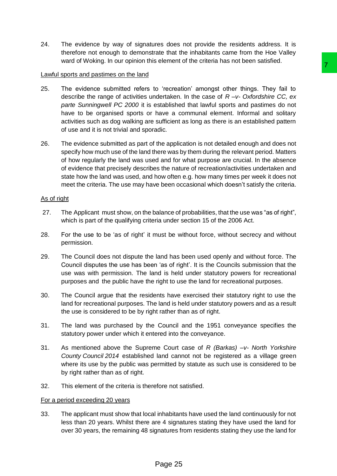24. The evidence by way of signatures does not provide the residents address. It is therefore not enough to demonstrate that the inhabitants came from the Hoe Valley ward of Woking. In our opinion this element of the criteria has not been satisfied.

### Lawful sports and pastimes on the land

- 25. The evidence submitted refers to 'recreation' amongst other things. They fail to describe the range of activities undertaken. In the case of *R –v- Oxfordshire CC, ex parte Sunningwell PC 2000* it is established that lawful sports and pastimes do not have to be organised sports or have a communal element. Informal and solitary activities such as dog walking are sufficient as long as there is an established pattern of use and it is not trivial and sporadic. bushinle the busten attended into the control delayed of the page 25 of the page 25 control in the data of the magnitum and page 3 of control of the fact and the magnitum and the magnitum and the magnitude of the applicat
- 26. The evidence submitted as part of the application is not detailed enough and does not specify how much use of the land there was by them during the relevant period. Matters of how regularly the land was used and for what purpose are crucial. In the absence of evidence that precisely describes the nature of recreation/activities undertaken and state how the land was used, and how often e.g. how many times per week it does not meet the criteria. The use may have been occasional which doesn't satisfy the criteria.

### As of right

- 27. The Applicant must show, on the balance of probabilities, that the use was "as of right", which is part of the qualifying criteria under section 15 of the 2006 Act.
- 28. For the use to be 'as of right' it must be without force, without secrecy and without permission.
- 29. The Council does not dispute the land has been used openly and without force. The Council disputes the use has been 'as of right'. It is the Councils submission that the use was with permission. The land is held under statutory powers for recreational purposes and the public have the right to use the land for recreational purposes.
- 30. The Council argue that the residents have exercised their statutory right to use the land for recreational purposes. The land is held under statutory powers and as a result the use is considered to be by right rather than as of right.
- 31. The land was purchased by the Council and the 1951 conveyance specifies the statutory power under which it entered into the conveyance.
- 31. As mentioned above the Supreme Court case of *R (Barkas) –v- North Yorkshire County Council 2014* established land cannot not be registered as a village green where its use by the public was permitted by statute as such use is considered to be by right rather than as of right.
- 32. This element of the criteria is therefore not satisfied.

# For a period exceeding 20 years

33. The applicant must show that local inhabitants have used the land continuously for not less than 20 years. Whilst there are 4 signatures stating they have used the land for over 30 years, the remaining 48 signatures from residents stating they use the land for